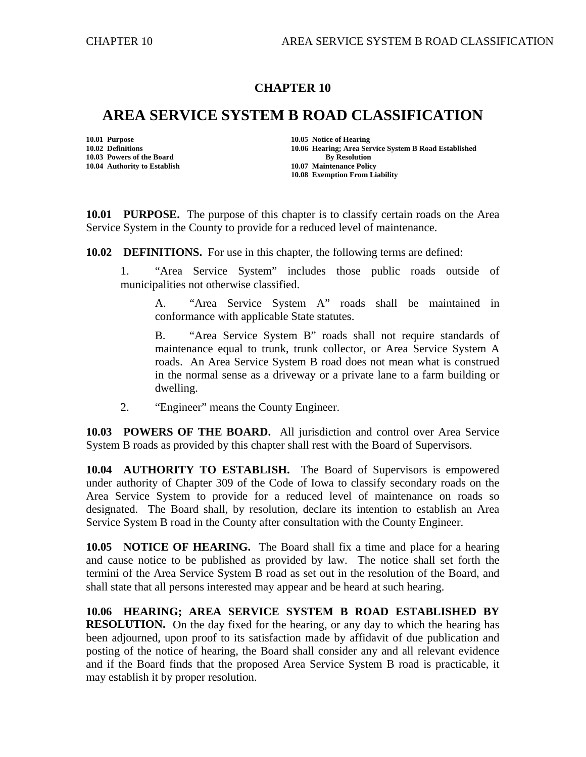## **CHAPTER 10**

## **AREA SERVICE SYSTEM B ROAD CLASSIFICATION**

**10.03 Powers of the Board By Resolution By Resolution 10.04 Authority to Establish 10.07 Maintenance Policy** 

**10.01 Purpose 10.05 Notice of Hearing 10.02 Definitions 10.06 Hearing; Area Service System B Road Established 10.08 Exemption From Liability** 

**10.01 PURPOSE.** The purpose of this chapter is to classify certain roads on the Area Service System in the County to provide for a reduced level of maintenance.

**10.02 DEFINITIONS.** For use in this chapter, the following terms are defined:

1. "Area Service System" includes those public roads outside of municipalities not otherwise classified.

A. "Area Service System A" roads shall be maintained in conformance with applicable State statutes.

B. "Area Service System B" roads shall not require standards of maintenance equal to trunk, trunk collector, or Area Service System A roads. An Area Service System B road does not mean what is construed in the normal sense as a driveway or a private lane to a farm building or dwelling.

2. "Engineer" means the County Engineer.

**10.03 POWERS OF THE BOARD.** All jurisdiction and control over Area Service System B roads as provided by this chapter shall rest with the Board of Supervisors.

**10.04 AUTHORITY TO ESTABLISH.** The Board of Supervisors is empowered under authority of Chapter 309 of the Code of Iowa to classify secondary roads on the Area Service System to provide for a reduced level of maintenance on roads so designated. The Board shall, by resolution, declare its intention to establish an Area Service System B road in the County after consultation with the County Engineer.

**10.05 NOTICE OF HEARING.** The Board shall fix a time and place for a hearing and cause notice to be published as provided by law. The notice shall set forth the termini of the Area Service System B road as set out in the resolution of the Board, and shall state that all persons interested may appear and be heard at such hearing.

**10.06 HEARING; AREA SERVICE SYSTEM B ROAD ESTABLISHED BY RESOLUTION.** On the day [fixed](mailto:fi@-xe-d) for the hearing, or any day to which the hearing has been adjourned, upon proof to its satisfaction made by affidavit of due publication and posting of the notice of hearing, the Board shall consider any and all relevant evidence and if the Board finds that the proposed Area Service System B road is practicable, it may establish it by proper resolution.